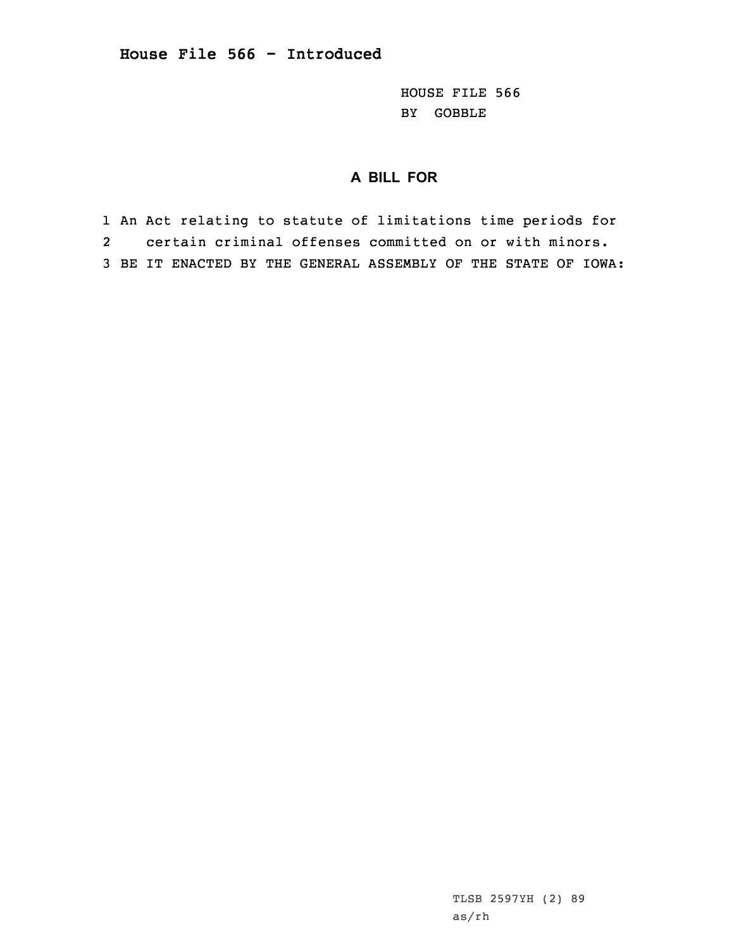HOUSE FILE 566 BY GOBBLE

## **A BILL FOR**

1 An Act relating to statute of limitations time periods for 2 certain criminal offenses committed on or with minors. 3 BE IT ENACTED BY THE GENERAL ASSEMBLY OF THE STATE OF IOWA: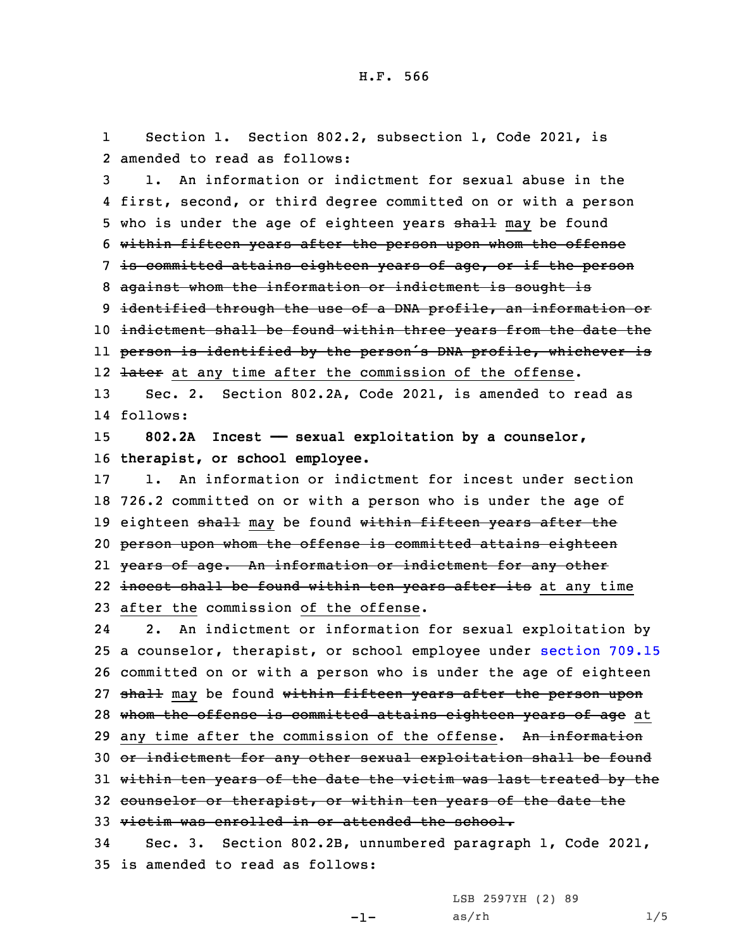1 Section 1. Section 802.2, subsection 1, Code 2021, is 2 amended to read as follows:

 1. An information or indictment for sexual abuse in the first, second, or third degree committed on or with <sup>a</sup> person 5 who is under the age of eighteen years shall may be found within fifteen years after the person upon whom the offense is committed attains eighteen years of age, or if the person against whom the information or indictment is sought is 9 identified through the use of a DNA profile, an information or indictment shall be found within three years from the date the person is identified by the person's DNA profile, whichever is 12 <del>later</del> at any time after the commission of the offense.

13 Sec. 2. Section 802.2A, Code 2021, is amended to read as 14 follows:

15 **802.2A Incest —— sexual exploitation by <sup>a</sup> counselor,** 16 **therapist, or school employee.**

 1. An information or indictment for incest under section 726.2 committed on or with <sup>a</sup> person who is under the age of 19 eighteen shall may be found within fifteen years after the person upon whom the offense is committed attains eighteen years of age. An information or indictment for any other 22 <del>incest shall be found within ten years after its</del> at any time after the commission of the offense.

24 2. An indictment or information for sexual exploitation by 25 <sup>a</sup> counselor, therapist, or school employee under [section](https://www.legis.iowa.gov/docs/code/2021/709.15.pdf) 709.15 26 committed on or with <sup>a</sup> person who is under the age of eighteen 27 shall may be found within fifteen years after the person upon 28 whom the offense is committed attains eighteen years of age at 29 any time after the commission of the offense. An information 30 or indictment for any other sexual exploitation shall be found 31 within ten years of the date the victim was last treated by the 32 counselor or therapist, or within ten years of the date the 33 victim was enrolled in or attended the school. 34 Sec. 3. Section 802.2B, unnumbered paragraph 1, Code 2021,

35 is amended to read as follows:

LSB 2597YH (2) 89

 $-1-$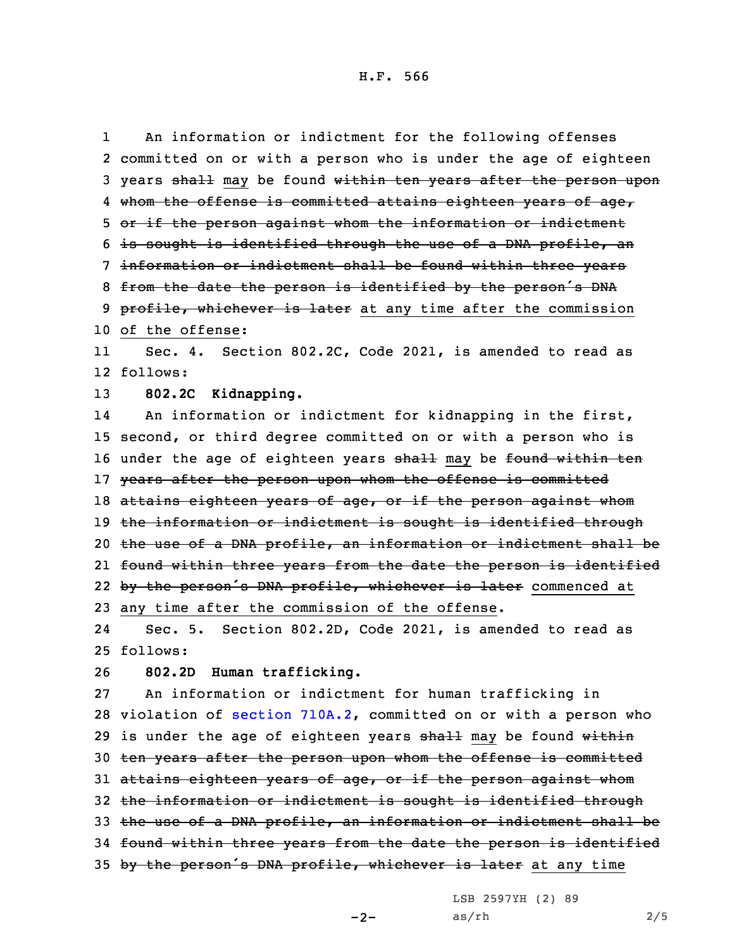H.F. 566

An information or indictment for the following offenses

1

2 committed on or with <sup>a</sup> person who is under the age of eighteen 3 years shall may be found within ten years after the person upon 4 whom the offense is committed attains eighteen years of age, 5 or if the person against whom the information or indictment 6 is sought is identified through the use of <sup>a</sup> DNA profile, an 7 information or indictment shall be found within three years 8 from the date the person is identified by the person's DNA 9 profile, whichever is later at any time after the commission 10 of the offense: 11 Sec. 4. Section 802.2C, Code 2021, is amended to read as 12 follows: 13 **802.2C Kidnapping.** 14 An information or indictment for kidnapping in the first, 15 second, or third degree committed on or with <sup>a</sup> person who is 16 under the age of eighteen years shall may be found within ten 17 years after the person upon whom the offense is committed 18 attains eighteen years of age, or if the person against whom 19 the information or indictment is sought is identified through 20 the use of <sup>a</sup> DNA profile, an information or indictment shall be 21 found within three years from the date the person is identified 22 by the person's DNA profile, whichever is later commenced at 23 any time after the commission of the offense. 24 Sec. 5. Section 802.2D, Code 2021, is amended to read as 25 follows: 26 **802.2D Human trafficking.** 27 An information or indictment for human trafficking in 28 violation of section [710A.2](https://www.legis.iowa.gov/docs/code/2021/710A.2.pdf), committed on or with <sup>a</sup> person who 29 is under the age of eighteen years  $shall$  may be found within 30 ten years after the person upon whom the offense is committed 31 attains eighteen years of age, or if the person against whom 32 the information or indictment is sought is identified through 33 the use of <sup>a</sup> DNA profile, an information or indictment shall be 34 found within three years from the date the person is identified 35 by the person's DNA profile, whichever is later at any time

LSB 2597YH (2) 89

 $-2-$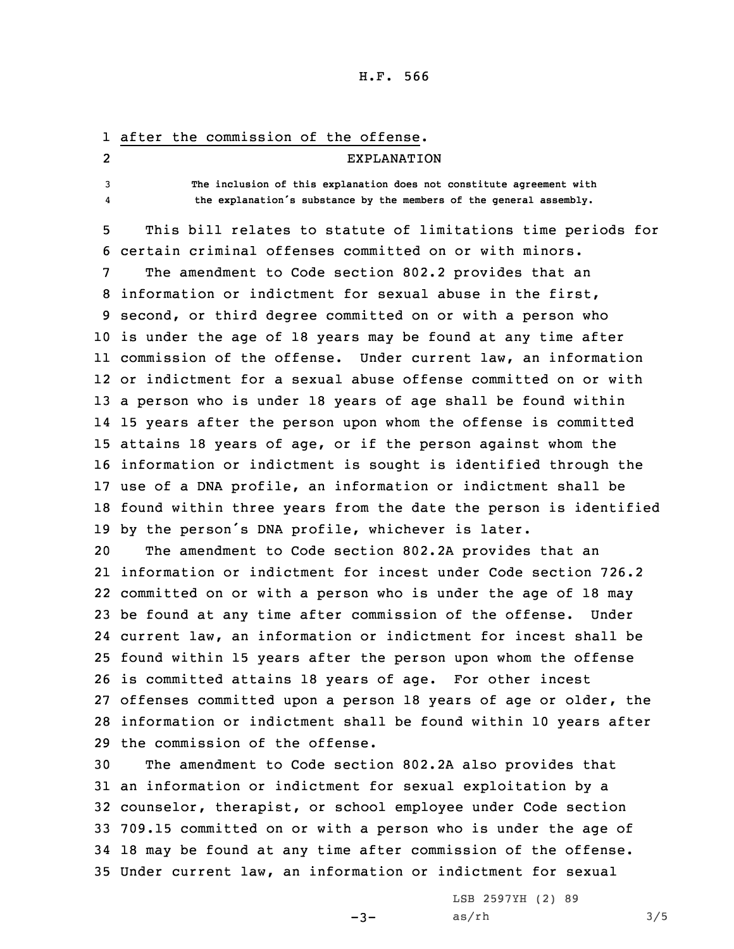## H.F. 566

|                | 1 after the commission of the offense.                               |
|----------------|----------------------------------------------------------------------|
| $\overline{2}$ | EXPLANATION                                                          |
| 3              | The inclusion of this explanation does not constitute agreement with |
|                | the explanation's substance by the members of the general assembly.  |
|                |                                                                      |

5 This bill relates to statute of limitations time periods for 6 certain criminal offenses committed on or with minors.

 The amendment to Code section 802.2 provides that an information or indictment for sexual abuse in the first, second, or third degree committed on or with <sup>a</sup> person who is under the age of 18 years may be found at any time after commission of the offense. Under current law, an information or indictment for <sup>a</sup> sexual abuse offense committed on or with <sup>a</sup> person who is under 18 years of age shall be found within 15 years after the person upon whom the offense is committed attains 18 years of age, or if the person against whom the information or indictment is sought is identified through the use of <sup>a</sup> DNA profile, an information or indictment shall be found within three years from the date the person is identified by the person's DNA profile, whichever is later.

 The amendment to Code section 802.2A provides that an information or indictment for incest under Code section 726.2 committed on or with <sup>a</sup> person who is under the age of 18 may be found at any time after commission of the offense. Under current law, an information or indictment for incest shall be found within 15 years after the person upon whom the offense is committed attains 18 years of age. For other incest offenses committed upon <sup>a</sup> person 18 years of age or older, the information or indictment shall be found within 10 years after the commission of the offense.

 The amendment to Code section 802.2A also provides that an information or indictment for sexual exploitation by <sup>a</sup> counselor, therapist, or school employee under Code section 709.15 committed on or with <sup>a</sup> person who is under the age of 18 may be found at any time after commission of the offense. Under current law, an information or indictment for sexual

 $-3-$ 

LSB 2597YH (2) 89  $as/rh$   $3/5$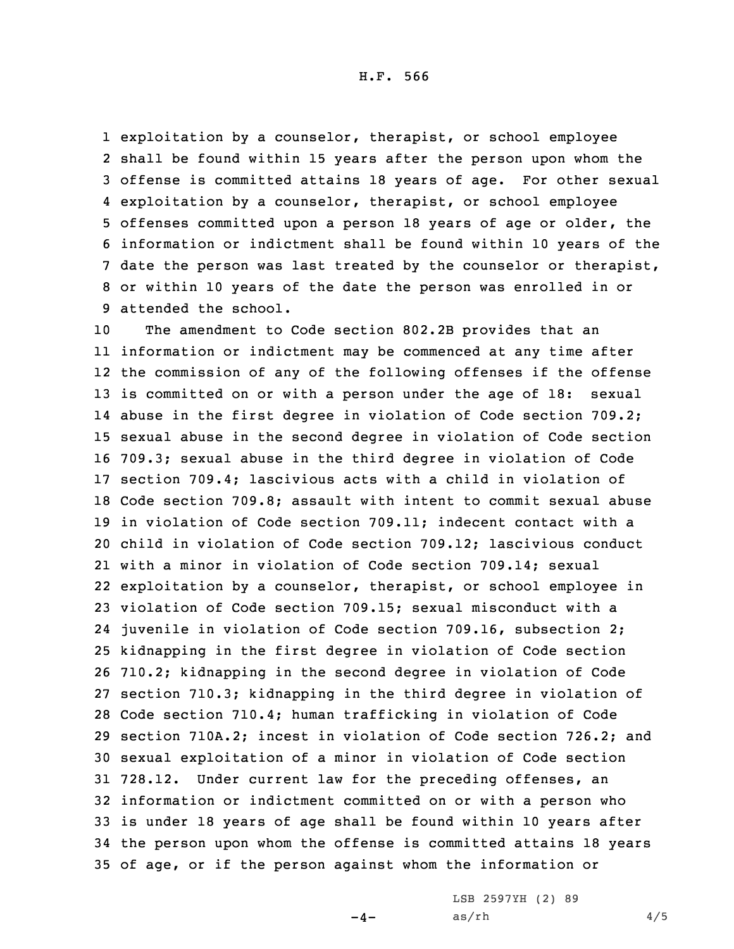H.F. 566

 exploitation by <sup>a</sup> counselor, therapist, or school employee shall be found within 15 years after the person upon whom the offense is committed attains 18 years of age. For other sexual exploitation by <sup>a</sup> counselor, therapist, or school employee offenses committed upon <sup>a</sup> person 18 years of age or older, the information or indictment shall be found within 10 years of the date the person was last treated by the counselor or therapist, or within 10 years of the date the person was enrolled in or attended the school.

 The amendment to Code section 802.2B provides that an information or indictment may be commenced at any time after the commission of any of the following offenses if the offense is committed on or with <sup>a</sup> person under the age of 18: sexual abuse in the first degree in violation of Code section 709.2; sexual abuse in the second degree in violation of Code section 709.3; sexual abuse in the third degree in violation of Code section 709.4; lascivious acts with <sup>a</sup> child in violation of Code section 709.8; assault with intent to commit sexual abuse in violation of Code section 709.11; indecent contact with <sup>a</sup> child in violation of Code section 709.12; lascivious conduct with <sup>a</sup> minor in violation of Code section 709.14; sexual exploitation by <sup>a</sup> counselor, therapist, or school employee in violation of Code section 709.15; sexual misconduct with <sup>a</sup> juvenile in violation of Code section 709.16, subsection 2; kidnapping in the first degree in violation of Code section 710.2; kidnapping in the second degree in violation of Code section 710.3; kidnapping in the third degree in violation of Code section 710.4; human trafficking in violation of Code section 710A.2; incest in violation of Code section 726.2; and sexual exploitation of <sup>a</sup> minor in violation of Code section 728.12. Under current law for the preceding offenses, an information or indictment committed on or with <sup>a</sup> person who is under 18 years of age shall be found within 10 years after the person upon whom the offense is committed attains 18 years of age, or if the person against whom the information or

 $-4-$ 

LSB 2597YH (2) 89  $as/rh$  4/5